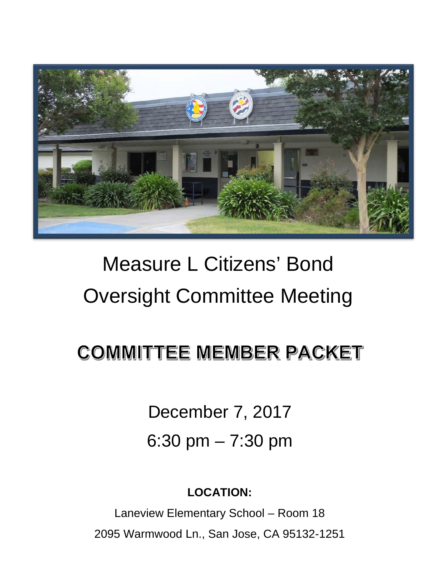

## Measure L Citizens' Bond Oversight Committee Meeting

### **COMMITTEE MEMBER PACKET**

December 7, 2017 6:30 pm – 7:30 pm

**LOCATION:**

Laneview Elementary School – Room 18 2095 Warmwood Ln., San Jose, CA 95132-1251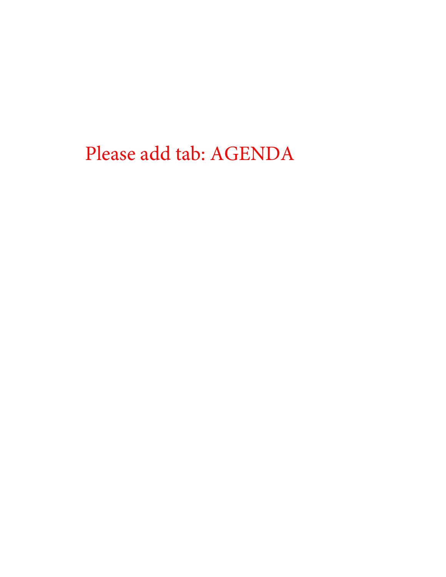Please add tab: AGENDA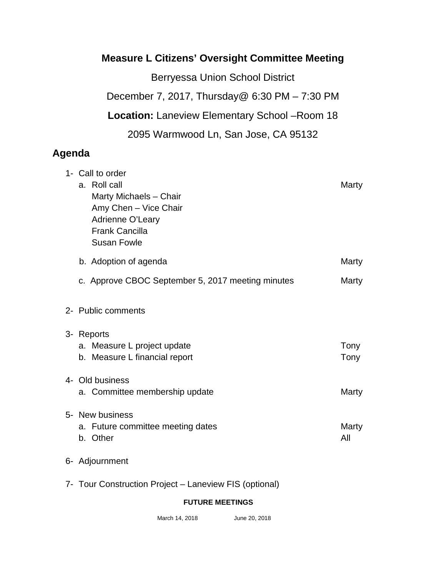#### **Measure L Citizens' Oversight Committee Meeting**

Berryessa Union School District December 7, 2017, Thursday@ 6:30 PM – 7:30 PM **Location:** Laneview Elementary School –Room 18 2095 Warmwood Ln, San Jose, CA 95132

#### **Agenda**

| 1- Call to order<br>a. Roll call<br>Marty Michaels - Chair<br>Amy Chen - Vice Chair<br>Adrienne O'Leary<br><b>Frank Cancilla</b><br><b>Susan Fowle</b> | Marty        |
|--------------------------------------------------------------------------------------------------------------------------------------------------------|--------------|
| b. Adoption of agenda                                                                                                                                  | Marty        |
| c. Approve CBOC September 5, 2017 meeting minutes                                                                                                      | Marty        |
| 2- Public comments                                                                                                                                     |              |
| 3- Reports                                                                                                                                             |              |
| a. Measure L project update<br>b. Measure L financial report                                                                                           | Tony<br>Tony |
| 4- Old business                                                                                                                                        |              |
| a. Committee membership update                                                                                                                         | Marty        |
| 5- New business<br>a. Future committee meeting dates<br>b. Other                                                                                       | Marty<br>All |
| 6- Adjournment                                                                                                                                         |              |

7- Tour Construction Project – Laneview FIS (optional)

#### **FUTURE MEETINGS**

March 14, 2018 June 20, 2018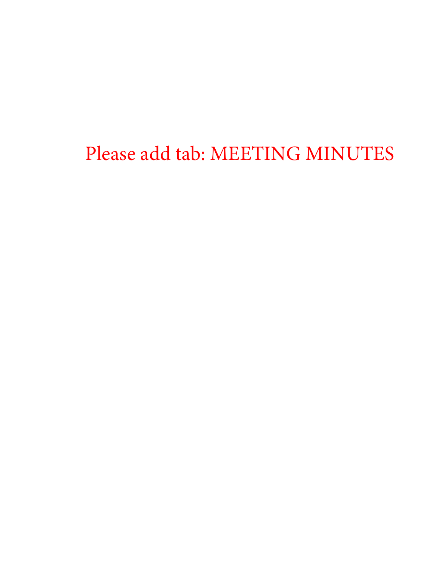Please add tab: MEETING MINUTES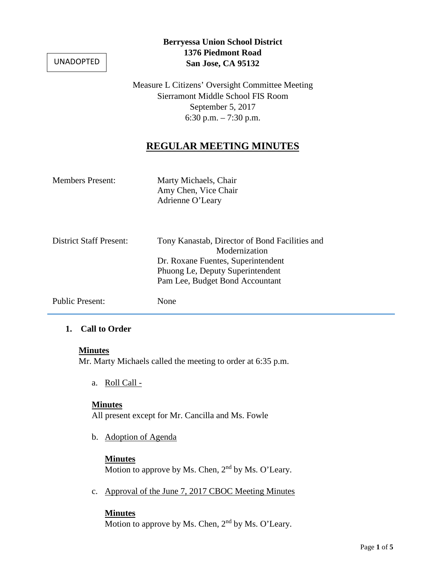UNADOPTED

#### **Berryessa Union School District 1376 Piedmont Road San Jose, CA 95132**

Measure L Citizens' Oversight Committee Meeting Sierramont Middle School FIS Room September 5, 2017 6:30 p.m. – 7:30 p.m.

#### **REGULAR MEETING MINUTES**

| <b>Members Present:</b>        | Marty Michaels, Chair<br>Amy Chen, Vice Chair<br>Adrienne O'Leary                                                                                                            |
|--------------------------------|------------------------------------------------------------------------------------------------------------------------------------------------------------------------------|
| <b>District Staff Present:</b> | Tony Kanastab, Director of Bond Facilities and<br>Modernization<br>Dr. Roxane Fuentes, Superintendent<br>Phuong Le, Deputy Superintendent<br>Pam Lee, Budget Bond Accountant |
| <b>Public Present:</b>         | None                                                                                                                                                                         |

#### **1. Call to Order**

#### **Minutes**

Mr. Marty Michaels called the meeting to order at 6:35 p.m.

a. Roll Call -

#### **Minutes**

All present except for Mr. Cancilla and Ms. Fowle

b. Adoption of Agenda

#### **Minutes**

Motion to approve by Ms. Chen,  $2<sup>nd</sup>$  by Ms. O'Leary.

c. Approval of the June 7, 2017 CBOC Meeting Minutes

#### **Minutes**

Motion to approve by Ms. Chen, 2<sup>nd</sup> by Ms. O'Leary.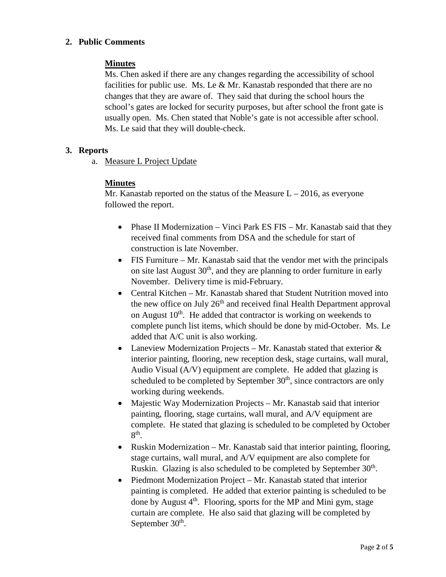#### **2. Public Comments**

#### **Minutes**

Ms. Chen asked if there are any changes regarding the accessibility of school facilities for public use. Ms. Le  $&$  Mr. Kanastab responded that there are no changes that they are aware of. They said that during the school hours the school's gates are locked for security purposes, but after school the front gate is usually open. Ms. Chen stated that Noble's gate is not accessible after school. Ms. Le said that they will double-check.

#### **3. Reports**

a. Measure L Project Update

#### **Minutes**

Mr. Kanastab reported on the status of the Measure  $L - 2016$ , as everyone followed the report.

- Phase II Modernization Vinci Park ES FIS Mr. Kanastab said that they received final comments from DSA and the schedule for start of construction is late November.
- FIS Furniture Mr. Kanastab said that the vendor met with the principals on site last August  $30<sup>th</sup>$ , and they are planning to order furniture in early November. Delivery time is mid-February.
- Central Kitchen Mr. Kanastab shared that Student Nutrition moved into the new office on July 26<sup>th</sup> and received final Health Department approval on August  $10<sup>th</sup>$ . He added that contractor is working on weekends to complete punch list items, which should be done by mid-October. Ms. Le added that A/C unit is also working.
- Laneview Modernization Projects Mr. Kanastab stated that exterior & interior painting, flooring, new reception desk, stage curtains, wall mural, Audio Visual (A/V) equipment are complete. He added that glazing is scheduled to be completed by September  $30<sup>th</sup>$ , since contractors are only working during weekends.
- Majestic Way Modernization Projects Mr. Kanastab said that interior painting, flooring, stage curtains, wall mural, and A/V equipment are complete. He stated that glazing is scheduled to be completed by October 8th.
- Ruskin Modernization Mr. Kanastab said that interior painting, flooring, stage curtains, wall mural, and A/V equipment are also complete for Ruskin. Glazing is also scheduled to be completed by September 30<sup>th</sup>.
- Piedmont Modernization Project Mr. Kanastab stated that interior painting is completed. He added that exterior painting is scheduled to be done by August 4<sup>th</sup>. Flooring, sports for the MP and Mini gym, stage curtain are complete. He also said that glazing will be completed by September  $30<sup>th</sup>$ .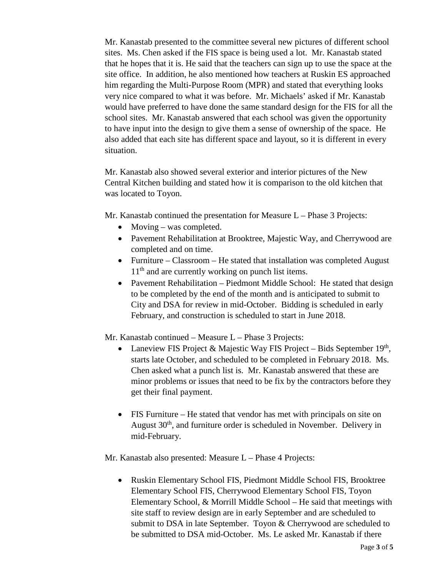Mr. Kanastab presented to the committee several new pictures of different school sites. Ms. Chen asked if the FIS space is being used a lot. Mr. Kanastab stated that he hopes that it is. He said that the teachers can sign up to use the space at the site office. In addition, he also mentioned how teachers at Ruskin ES approached him regarding the Multi-Purpose Room (MPR) and stated that everything looks very nice compared to what it was before. Mr. Michaels' asked if Mr. Kanastab would have preferred to have done the same standard design for the FIS for all the school sites. Mr. Kanastab answered that each school was given the opportunity to have input into the design to give them a sense of ownership of the space. He also added that each site has different space and layout, so it is different in every situation.

Mr. Kanastab also showed several exterior and interior pictures of the New Central Kitchen building and stated how it is comparison to the old kitchen that was located to Toyon.

Mr. Kanastab continued the presentation for Measure L – Phase 3 Projects:

- Moving was completed.
- Pavement Rehabilitation at Brooktree, Majestic Way, and Cherrywood are completed and on time.
- Furniture Classroom He stated that installation was completed August  $11<sup>th</sup>$  and are currently working on punch list items.
- Pavement Rehabilitation Piedmont Middle School: He stated that design to be completed by the end of the month and is anticipated to submit to City and DSA for review in mid-October. Bidding is scheduled in early February, and construction is scheduled to start in June 2018.

Mr. Kanastab continued – Measure L – Phase 3 Projects:

- Laneview FIS Project & Majestic Way FIS Project Bids September  $19<sup>th</sup>$ , starts late October, and scheduled to be completed in February 2018. Ms. Chen asked what a punch list is. Mr. Kanastab answered that these are minor problems or issues that need to be fix by the contractors before they get their final payment.
- FIS Furniture He stated that vendor has met with principals on site on August 30<sup>th</sup>, and furniture order is scheduled in November. Delivery in mid-February.

Mr. Kanastab also presented: Measure L – Phase 4 Projects:

• Ruskin Elementary School FIS, Piedmont Middle School FIS, Brooktree Elementary School FIS, Cherrywood Elementary School FIS, Toyon Elementary School, & Morrill Middle School – He said that meetings with site staff to review design are in early September and are scheduled to submit to DSA in late September. Toyon & Cherrywood are scheduled to be submitted to DSA mid-October. Ms. Le asked Mr. Kanastab if there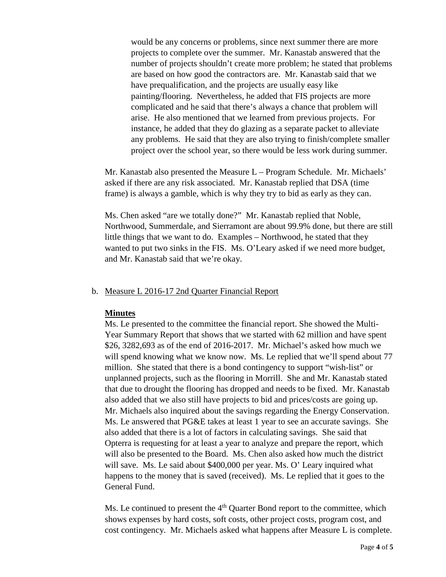would be any concerns or problems, since next summer there are more projects to complete over the summer. Mr. Kanastab answered that the number of projects shouldn't create more problem; he stated that problems are based on how good the contractors are. Mr. Kanastab said that we have prequalification, and the projects are usually easy like painting/flooring. Nevertheless, he added that FIS projects are more complicated and he said that there's always a chance that problem will arise. He also mentioned that we learned from previous projects. For instance, he added that they do glazing as a separate packet to alleviate any problems. He said that they are also trying to finish/complete smaller project over the school year, so there would be less work during summer.

Mr. Kanastab also presented the Measure L – Program Schedule. Mr. Michaels' asked if there are any risk associated. Mr. Kanastab replied that DSA (time frame) is always a gamble, which is why they try to bid as early as they can.

Ms. Chen asked "are we totally done?" Mr. Kanastab replied that Noble, Northwood, Summerdale, and Sierramont are about 99.9% done, but there are still little things that we want to do. Examples – Northwood, he stated that they wanted to put two sinks in the FIS. Ms. O'Leary asked if we need more budget, and Mr. Kanastab said that we're okay.

#### b. Measure L 2016-17 2nd Quarter Financial Report

#### **Minutes**

Ms. Le presented to the committee the financial report. She showed the Multi-Year Summary Report that shows that we started with 62 million and have spent \$26, 3282,693 as of the end of 2016-2017. Mr. Michael's asked how much we will spend knowing what we know now. Ms. Le replied that we'll spend about 77 million. She stated that there is a bond contingency to support "wish-list" or unplanned projects, such as the flooring in Morrill. She and Mr. Kanastab stated that due to drought the flooring has dropped and needs to be fixed. Mr. Kanastab also added that we also still have projects to bid and prices/costs are going up. Mr. Michaels also inquired about the savings regarding the Energy Conservation. Ms. Le answered that PG&E takes at least 1 year to see an accurate savings. She also added that there is a lot of factors in calculating savings. She said that Opterra is requesting for at least a year to analyze and prepare the report, which will also be presented to the Board. Ms. Chen also asked how much the district will save. Ms. Le said about \$400,000 per year. Ms. O' Leary inquired what happens to the money that is saved (received). Ms. Le replied that it goes to the General Fund.

Ms. Le continued to present the  $4<sup>th</sup>$  Quarter Bond report to the committee, which shows expenses by hard costs, soft costs, other project costs, program cost, and cost contingency. Mr. Michaels asked what happens after Measure L is complete.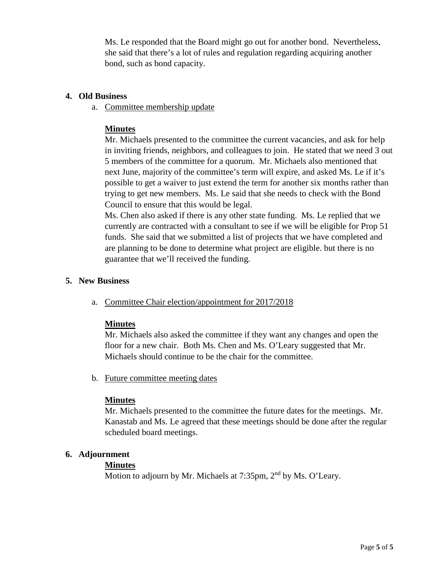Ms. Le responded that the Board might go out for another bond. Nevertheless, she said that there's a lot of rules and regulation regarding acquiring another bond, such as bond capacity.

#### **4. Old Business**

a. Committee membership update

#### **Minutes**

Mr. Michaels presented to the committee the current vacancies, and ask for help in inviting friends, neighbors, and colleagues to join. He stated that we need 3 out 5 members of the committee for a quorum. Mr. Michaels also mentioned that next June, majority of the committee's term will expire, and asked Ms. Le if it's possible to get a waiver to just extend the term for another six months rather than trying to get new members. Ms. Le said that she needs to check with the Bond Council to ensure that this would be legal.

Ms. Chen also asked if there is any other state funding. Ms. Le replied that we currently are contracted with a consultant to see if we will be eligible for Prop 51 funds. She said that we submitted a list of projects that we have completed and are planning to be done to determine what project are eligible. but there is no guarantee that we'll received the funding.

#### **5. New Business**

a. Committee Chair election/appointment for 2017/2018

#### **Minutes**

Mr. Michaels also asked the committee if they want any changes and open the floor for a new chair. Both Ms. Chen and Ms. O'Leary suggested that Mr. Michaels should continue to be the chair for the committee.

b. Future committee meeting dates

#### **Minutes**

Mr. Michaels presented to the committee the future dates for the meetings. Mr. Kanastab and Ms. Le agreed that these meetings should be done after the regular scheduled board meetings.

#### **6. Adjournment**

#### **Minutes**

Motion to adjourn by Mr. Michaels at 7:35pm, 2<sup>nd</sup> by Ms. O'Leary.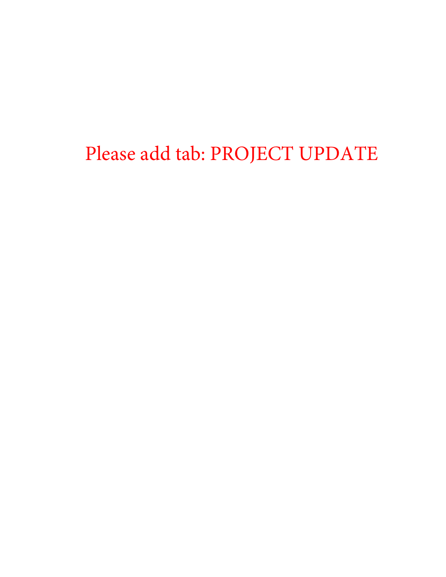Please add tab: PROJECT UPDATE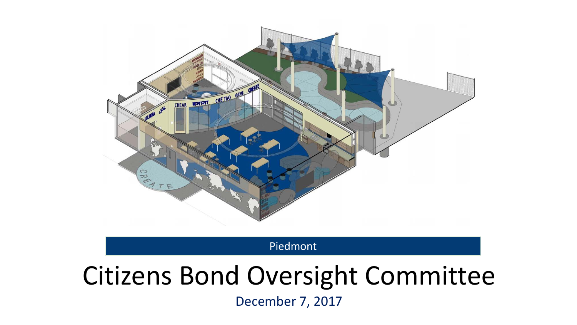

Piedmont

# Citizens Bond Oversight Committee

December 7, 2017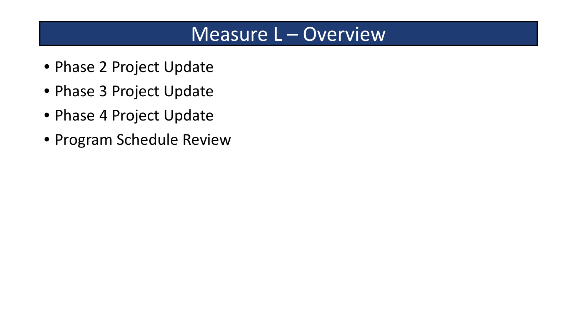### Measure L – Overview

- Phase 2 Project Update
- Phase 3 Project Update
- Phase 4 Project Update
- Program Schedule Review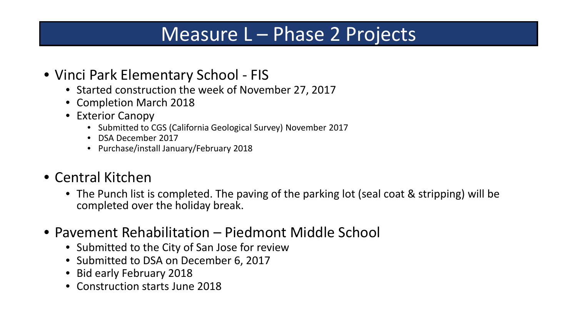- Vinci Park Elementary School FIS
	- Started construction the week of November 27, 2017
	- Completion March 2018
	- Exterior Canopy
		- Submitted to CGS (California Geological Survey) November 2017
		- DSA December 2017
		- Purchase/install January/February 2018

### • Central Kitchen

- The Punch list is completed. The paving of the parking lot (seal coat & stripping) will be completed over the holiday break.
- Pavement Rehabilitation Piedmont Middle School
	- Submitted to the City of San Jose for review
	- Submitted to DSA on December 6, 2017
	- Bid early February 2018
	- Construction starts June 2018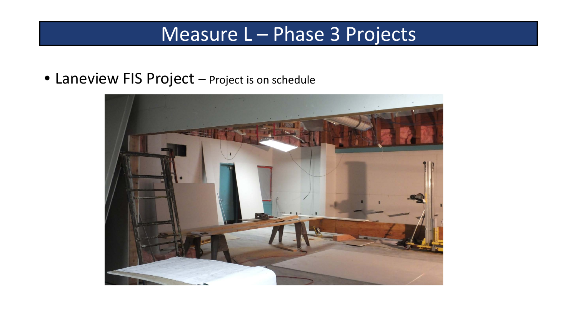• Laneview FIS Project – Project is on schedule

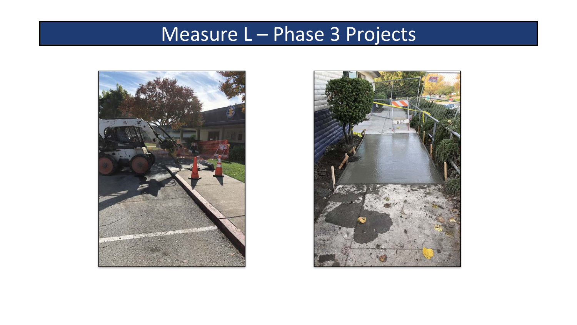

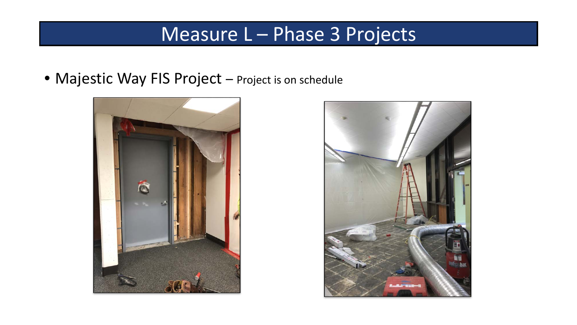• Majestic Way FIS Project - Project is on schedule



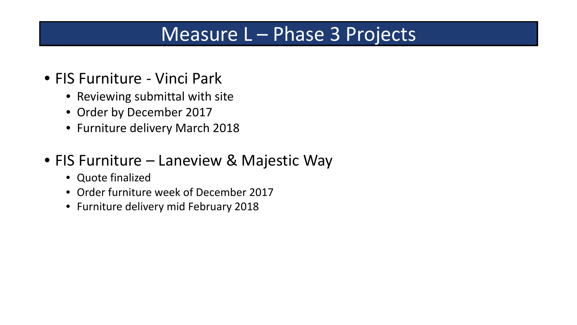- FIS Furniture Vinci Park
	- Reviewing submittal with site
	- Order by December 2017
	- Furniture delivery March 2018
- FIS Furniture Laneview & Majestic Way
	- Quote finalized
	- Order furniture week of December 2017
	- Furniture delivery mid February 2018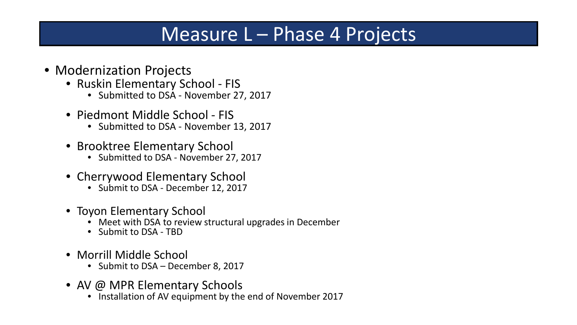- Modernization Projects
	- Ruskin Elementary School FIS
		- Submitted to DSA November 27, 2017
	- Piedmont Middle School FIS
		- Submitted to DSA November 13, 2017
	- Brooktree Elementary School
		- Submitted to DSA November 27, 2017
	- Cherrywood Elementary School
		- Submit to DSA December 12, 2017
	- Toyon Elementary School
		- Meet with DSA to review structural upgrades in December
		- Submit to DSA TBD
	- Morrill Middle School
		- Submit to DSA December 8, 2017
	- AV @ MPR Elementary Schools
		- Installation of AV equipment by the end of November 2017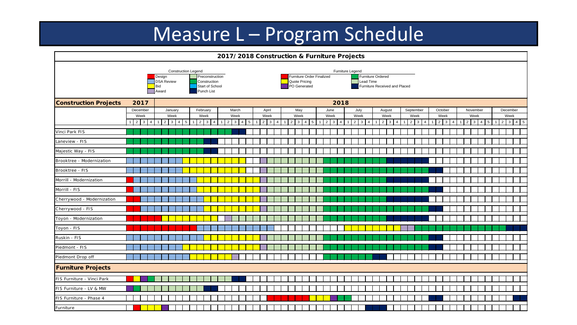## Measure L – Program Schedule

| 2017/2018 Construction & Furniture Projects |                                  |                                                                                  |                                                                  |                                              |                                           |                                                              |                           |                                           |                                                           |                                                                                                    |                                  |                                  |
|---------------------------------------------|----------------------------------|----------------------------------------------------------------------------------|------------------------------------------------------------------|----------------------------------------------|-------------------------------------------|--------------------------------------------------------------|---------------------------|-------------------------------------------|-----------------------------------------------------------|----------------------------------------------------------------------------------------------------|----------------------------------|----------------------------------|
|                                             |                                  | <b>Construction Legend</b><br>Design<br><b>DSA Review</b><br><b>Bid</b><br>Award | Preconstruction<br>Construction<br>Start of School<br>Punch List |                                              |                                           | Furniture Order Finalized<br>Quote Pricing<br>PO Generated   |                           | Furniture Legend<br>Lead Time             | <b>Furniture Ordered</b><br>Furniture Received and Placed |                                                                                                    |                                  |                                  |
| <b>Construction Projects</b>                | 2017                             | 2018                                                                             |                                                                  |                                              |                                           |                                                              |                           |                                           |                                                           |                                                                                                    |                                  |                                  |
|                                             | December                         | January                                                                          | February                                                         | March                                        | April                                     | May                                                          | June                      | July                                      | August                                                    | September<br>October                                                                               | November                         | December                         |
|                                             | Week<br>$1 \quad 2 \quad 3$<br>4 | Week<br>$1 \mid 2 \mid 3 \mid 4 \mid 5$                                          | Week<br>$2 \mid 3$<br>$\overline{4}$                             | Week<br>$5\overline{)}$<br>$2 \mid 3 \mid 4$ | Week<br>$2 \mid 3 \mid$<br>$\overline{4}$ | Week<br>$2 \mid 3 \mid 4$<br>$5\overline{)}$<br>$\mathbf{1}$ | Week<br>$2 \mid 3 \mid 4$ | Week<br>$3 \mid 4 \mid$<br>2 <sup>1</sup> | Week<br>$2 \mid 3$<br>$\overline{4}$                      | Week<br>Week<br>$\mathbf{3}$<br>$2 \mid 3 \mid$<br>$2^{\circ}$<br>$\overline{4}$<br>$\overline{4}$ | Week<br>$2 \mid 3 \mid 4 \mid 5$ | Week<br>$2 \mid 3 \mid 4 \mid 5$ |
| Vinci Park FIS                              |                                  |                                                                                  |                                                                  |                                              |                                           |                                                              |                           |                                           |                                                           |                                                                                                    |                                  |                                  |
| Laneview - FIS                              |                                  |                                                                                  |                                                                  |                                              |                                           |                                                              |                           |                                           |                                                           |                                                                                                    |                                  |                                  |
| Majestic Way - FIS                          |                                  |                                                                                  |                                                                  |                                              |                                           |                                                              |                           |                                           |                                                           |                                                                                                    |                                  |                                  |
| Brooktree - Modernization                   |                                  |                                                                                  |                                                                  |                                              |                                           |                                                              |                           |                                           |                                                           |                                                                                                    |                                  |                                  |
| Brooktree - FIS                             |                                  |                                                                                  |                                                                  |                                              |                                           |                                                              |                           |                                           |                                                           |                                                                                                    |                                  |                                  |
| Morrill - Modernization                     |                                  |                                                                                  |                                                                  |                                              |                                           |                                                              |                           |                                           |                                                           |                                                                                                    |                                  |                                  |
| Morrill - FIS                               |                                  |                                                                                  |                                                                  |                                              |                                           |                                                              |                           |                                           |                                                           |                                                                                                    |                                  |                                  |
| Cherrywood - Modernization                  |                                  |                                                                                  |                                                                  |                                              |                                           |                                                              |                           |                                           |                                                           |                                                                                                    |                                  |                                  |
| Cherrywood - FIS                            |                                  |                                                                                  |                                                                  |                                              |                                           |                                                              |                           |                                           |                                                           |                                                                                                    |                                  |                                  |
| Toyon - Modernization                       |                                  |                                                                                  |                                                                  |                                              |                                           |                                                              |                           |                                           |                                                           |                                                                                                    |                                  |                                  |
| Toyon - FIS                                 |                                  |                                                                                  |                                                                  |                                              |                                           |                                                              |                           |                                           |                                                           |                                                                                                    |                                  |                                  |
| Ruskin - FIS                                |                                  |                                                                                  |                                                                  |                                              |                                           |                                                              |                           |                                           |                                                           |                                                                                                    |                                  |                                  |
| Piedmont - FIS                              |                                  |                                                                                  |                                                                  |                                              |                                           |                                                              |                           |                                           |                                                           |                                                                                                    |                                  |                                  |
| Piedmont Drop off                           |                                  |                                                                                  |                                                                  |                                              |                                           |                                                              |                           |                                           |                                                           |                                                                                                    |                                  |                                  |
| <b>Furniture Projects</b>                   |                                  |                                                                                  |                                                                  |                                              |                                           |                                                              |                           |                                           |                                                           |                                                                                                    |                                  |                                  |
| FIS Furniture - Vinci Park                  |                                  |                                                                                  |                                                                  |                                              |                                           |                                                              |                           |                                           |                                                           |                                                                                                    |                                  |                                  |
| FIS Furniture - LV & MW                     |                                  |                                                                                  |                                                                  |                                              |                                           |                                                              |                           |                                           |                                                           |                                                                                                    |                                  |                                  |
| FIS Furniture - Phase 4                     |                                  |                                                                                  |                                                                  |                                              |                                           |                                                              |                           |                                           |                                                           |                                                                                                    |                                  |                                  |
| Furniture                                   |                                  |                                                                                  |                                                                  |                                              |                                           |                                                              |                           |                                           |                                                           |                                                                                                    |                                  |                                  |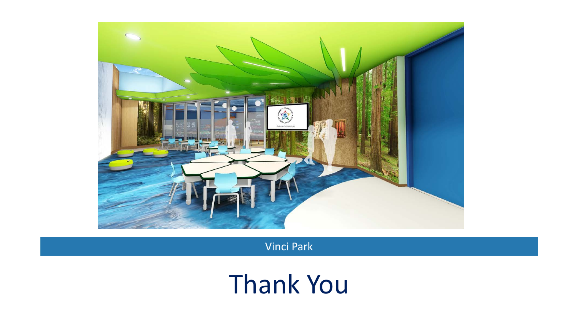

Vinci Park

# Thank You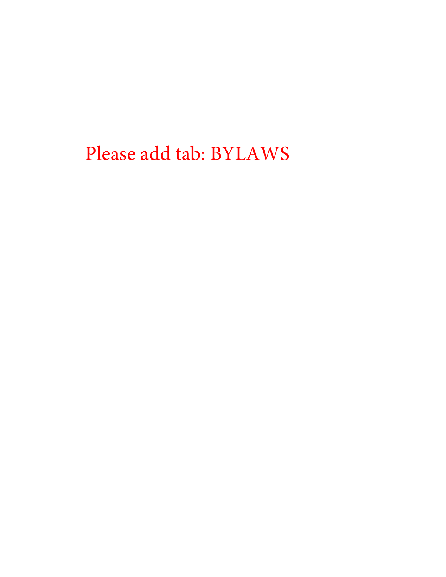Please add tab: BYLAWS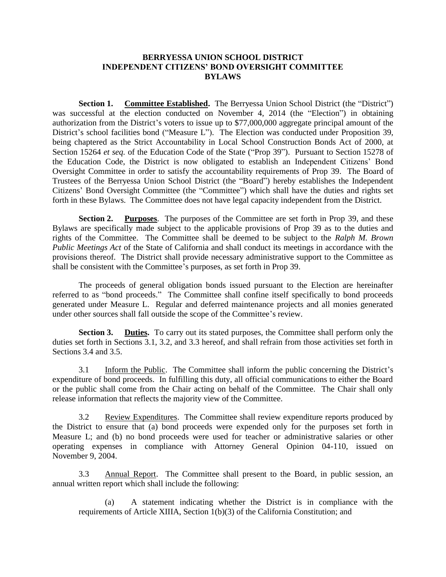#### **BERRYESSA UNION SCHOOL DISTRICT INDEPENDENT CITIZENS' BOND OVERSIGHT COMMITTEE BYLAWS**

**Section 1.** Committee Established. The Berryessa Union School District (the "District") was successful at the election conducted on November 4, 2014 (the "Election") in obtaining authorization from the District's voters to issue up to \$77,000,000 aggregate principal amount of the District's school facilities bond ("Measure L"). The Election was conducted under Proposition 39, being chaptered as the Strict Accountability in Local School Construction Bonds Act of 2000, at Section 15264 *et seq.* of the Education Code of the State ("Prop 39"). Pursuant to Section 15278 of the Education Code, the District is now obligated to establish an Independent Citizens' Bond Oversight Committee in order to satisfy the accountability requirements of Prop 39. The Board of Trustees of the Berryessa Union School District (the "Board") hereby establishes the Independent Citizens' Bond Oversight Committee (the "Committee") which shall have the duties and rights set forth in these Bylaws. The Committee does not have legal capacity independent from the District.

**Section 2. Purposes**. The purposes of the Committee are set forth in Prop 39, and these Bylaws are specifically made subject to the applicable provisions of Prop 39 as to the duties and rights of the Committee. The Committee shall be deemed to be subject to the *Ralph M. Brown Public Meetings Act* of the State of California and shall conduct its meetings in accordance with the provisions thereof. The District shall provide necessary administrative support to the Committee as shall be consistent with the Committee's purposes, as set forth in Prop 39.

The proceeds of general obligation bonds issued pursuant to the Election are hereinafter referred to as "bond proceeds." The Committee shall confine itself specifically to bond proceeds generated under Measure L. Regular and deferred maintenance projects and all monies generated under other sources shall fall outside the scope of the Committee's review.

**Section 3. Duties.** To carry out its stated purposes, the Committee shall perform only the duties set forth in Sections 3.1, 3.2, and 3.3 hereof, and shall refrain from those activities set forth in Sections 3.4 and 3.5.

3.1 Inform the Public. The Committee shall inform the public concerning the District's expenditure of bond proceeds. In fulfilling this duty, all official communications to either the Board or the public shall come from the Chair acting on behalf of the Committee. The Chair shall only release information that reflects the majority view of the Committee.

3.2 Review Expenditures. The Committee shall review expenditure reports produced by the District to ensure that (a) bond proceeds were expended only for the purposes set forth in Measure L; and (b) no bond proceeds were used for teacher or administrative salaries or other operating expenses in compliance with Attorney General Opinion 04-110, issued on November 9, 2004.

3.3 Annual Report. The Committee shall present to the Board, in public session, an annual written report which shall include the following:

(a) A statement indicating whether the District is in compliance with the requirements of Article XIIIA, Section 1(b)(3) of the California Constitution; and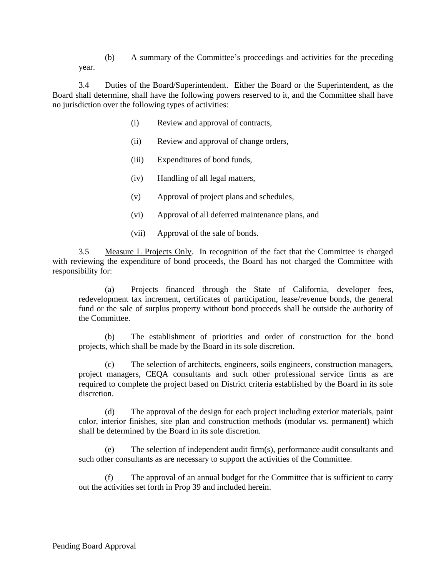(b) A summary of the Committee's proceedings and activities for the preceding year.

3.4 Duties of the Board/Superintendent. Either the Board or the Superintendent, as the Board shall determine, shall have the following powers reserved to it, and the Committee shall have no jurisdiction over the following types of activities:

- (i) Review and approval of contracts,
- (ii) Review and approval of change orders,
- (iii) Expenditures of bond funds,
- (iv) Handling of all legal matters,
- (v) Approval of project plans and schedules,
- (vi) Approval of all deferred maintenance plans, and
- (vii) Approval of the sale of bonds.

3.5 Measure L Projects Only. In recognition of the fact that the Committee is charged with reviewing the expenditure of bond proceeds, the Board has not charged the Committee with responsibility for:

(a) Projects financed through the State of California, developer fees, redevelopment tax increment, certificates of participation, lease/revenue bonds, the general fund or the sale of surplus property without bond proceeds shall be outside the authority of the Committee.

(b) The establishment of priorities and order of construction for the bond projects, which shall be made by the Board in its sole discretion.

(c) The selection of architects, engineers, soils engineers, construction managers, project managers, CEQA consultants and such other professional service firms as are required to complete the project based on District criteria established by the Board in its sole discretion.

(d) The approval of the design for each project including exterior materials, paint color, interior finishes, site plan and construction methods (modular vs. permanent) which shall be determined by the Board in its sole discretion.

(e) The selection of independent audit firm(s), performance audit consultants and such other consultants as are necessary to support the activities of the Committee.

(f) The approval of an annual budget for the Committee that is sufficient to carry out the activities set forth in Prop 39 and included herein.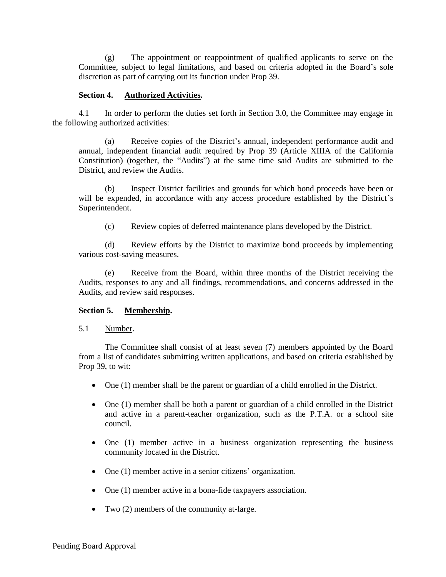(g) The appointment or reappointment of qualified applicants to serve on the Committee, subject to legal limitations, and based on criteria adopted in the Board's sole discretion as part of carrying out its function under Prop 39.

#### **Section 4. Authorized Activities.**

4.1 In order to perform the duties set forth in Section 3.0, the Committee may engage in the following authorized activities:

(a) Receive copies of the District's annual, independent performance audit and annual, independent financial audit required by Prop 39 (Article XIIIA of the California Constitution) (together, the "Audits") at the same time said Audits are submitted to the District, and review the Audits.

(b) Inspect District facilities and grounds for which bond proceeds have been or will be expended, in accordance with any access procedure established by the District's Superintendent.

(c) Review copies of deferred maintenance plans developed by the District.

(d) Review efforts by the District to maximize bond proceeds by implementing various cost-saving measures.

(e) Receive from the Board, within three months of the District receiving the Audits, responses to any and all findings, recommendations, and concerns addressed in the Audits, and review said responses.

#### **Section 5. Membership.**

5.1 Number.

The Committee shall consist of at least seven (7) members appointed by the Board from a list of candidates submitting written applications, and based on criteria established by Prop 39, to wit:

- One (1) member shall be the parent or guardian of a child enrolled in the District.
- One (1) member shall be both a parent or guardian of a child enrolled in the District and active in a parent-teacher organization, such as the P.T.A. or a school site council.
- One (1) member active in a business organization representing the business community located in the District.
- One (1) member active in a senior citizens' organization.
- One (1) member active in a bona-fide taxpayers association.
- Two (2) members of the community at-large.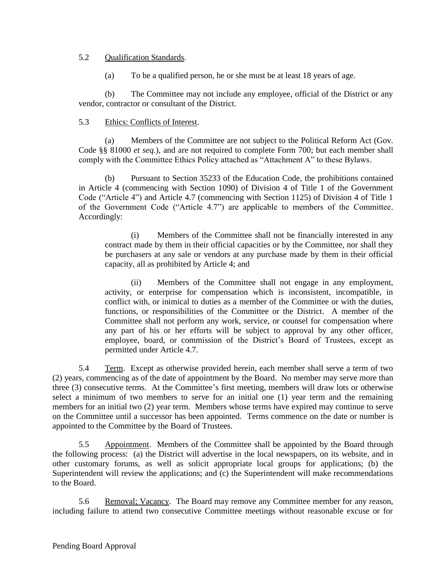#### 5.2 Qualification Standards.

(a) To be a qualified person, he or she must be at least 18 years of age.

(b) The Committee may not include any employee, official of the District or any vendor, contractor or consultant of the District.

#### 5.3 Ethics: Conflicts of Interest.

(a) Members of the Committee are not subject to the Political Reform Act (Gov. Code §§ 81000 *et seq.*), and are not required to complete Form 700; but each member shall comply with the Committee Ethics Policy attached as "Attachment A" to these Bylaws.

(b) Pursuant to Section 35233 of the Education Code, the prohibitions contained in Article 4 (commencing with Section 1090) of Division 4 of Title 1 of the Government Code ("Article 4") and Article 4.7 (commencing with Section 1125) of Division 4 of Title 1 of the Government Code ("Article 4.7") are applicable to members of the Committee. Accordingly:

(i) Members of the Committee shall not be financially interested in any contract made by them in their official capacities or by the Committee, nor shall they be purchasers at any sale or vendors at any purchase made by them in their official capacity, all as prohibited by Article 4; and

(ii) Members of the Committee shall not engage in any employment, activity, or enterprise for compensation which is inconsistent, incompatible, in conflict with, or inimical to duties as a member of the Committee or with the duties, functions, or responsibilities of the Committee or the District. A member of the Committee shall not perform any work, service, or counsel for compensation where any part of his or her efforts will be subject to approval by any other officer, employee, board, or commission of the District's Board of Trustees, except as permitted under Article 4.7.

5.4 Term. Except as otherwise provided herein, each member shall serve a term of two (2) years, commencing as of the date of appointment by the Board. No member may serve more than three (3) consecutive terms. At the Committee's first meeting, members will draw lots or otherwise select a minimum of two members to serve for an initial one (1) year term and the remaining members for an initial two (2) year term. Members whose terms have expired may continue to serve on the Committee until a successor has been appointed. Terms commence on the date or number is appointed to the Committee by the Board of Trustees.

5.5 Appointment. Members of the Committee shall be appointed by the Board through the following process: (a) the District will advertise in the local newspapers, on its website, and in other customary forums, as well as solicit appropriate local groups for applications; (b) the Superintendent will review the applications; and (c) the Superintendent will make recommendations to the Board.

5.6 Removal; Vacancy. The Board may remove any Committee member for any reason, including failure to attend two consecutive Committee meetings without reasonable excuse or for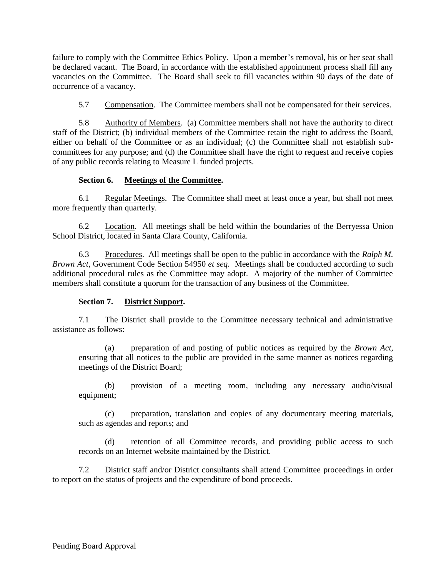failure to comply with the Committee Ethics Policy. Upon a member's removal, his or her seat shall be declared vacant. The Board, in accordance with the established appointment process shall fill any vacancies on the Committee. The Board shall seek to fill vacancies within 90 days of the date of occurrence of a vacancy.

5.7 Compensation. The Committee members shall not be compensated for their services.

5.8 Authority of Members. (a) Committee members shall not have the authority to direct staff of the District; (b) individual members of the Committee retain the right to address the Board, either on behalf of the Committee or as an individual; (c) the Committee shall not establish subcommittees for any purpose; and (d) the Committee shall have the right to request and receive copies of any public records relating to Measure L funded projects.

#### **Section 6. Meetings of the Committee.**

6.1 Regular Meetings. The Committee shall meet at least once a year, but shall not meet more frequently than quarterly.

6.2 Location. All meetings shall be held within the boundaries of the Berryessa Union School District, located in Santa Clara County, California.

6.3 Procedures. All meetings shall be open to the public in accordance with the *Ralph M. Brown Act*, Government Code Section 54950 *et seq.* Meetings shall be conducted according to such additional procedural rules as the Committee may adopt. A majority of the number of Committee members shall constitute a quorum for the transaction of any business of the Committee.

#### **Section 7. District Support.**

7.1 The District shall provide to the Committee necessary technical and administrative assistance as follows:

(a) preparation of and posting of public notices as required by the *Brown Act*, ensuring that all notices to the public are provided in the same manner as notices regarding meetings of the District Board;

(b) provision of a meeting room, including any necessary audio/visual equipment;

(c) preparation, translation and copies of any documentary meeting materials, such as agendas and reports; and

(d) retention of all Committee records, and providing public access to such records on an Internet website maintained by the District.

7.2 District staff and/or District consultants shall attend Committee proceedings in order to report on the status of projects and the expenditure of bond proceeds.